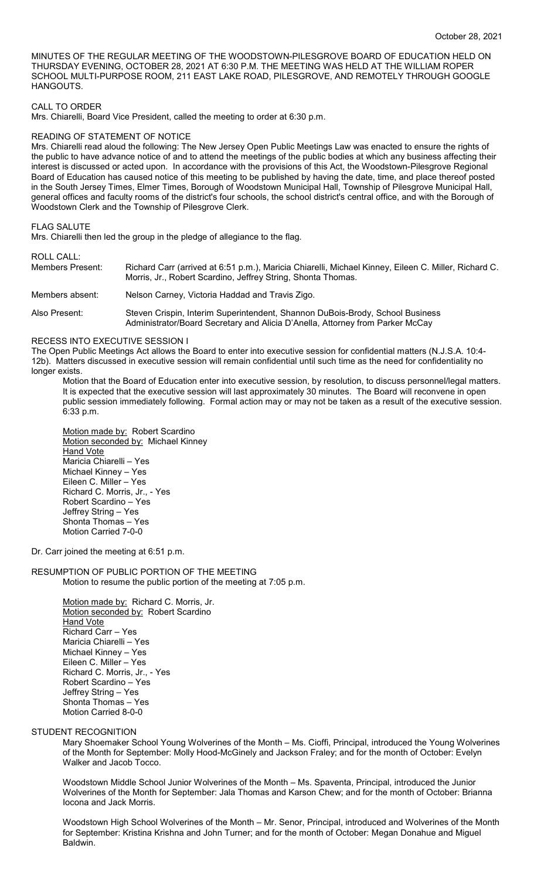MINUTES OF THE REGULAR MEETING OF THE WOODSTOWN-PILESGROVE BOARD OF EDUCATION HELD ON THURSDAY EVENING, OCTOBER 28, 2021 AT 6:30 P.M. THE MEETING WAS HELD AT THE WILLIAM ROPER SCHOOL MULTI-PURPOSE ROOM, 211 EAST LAKE ROAD, PILESGROVE, AND REMOTELY THROUGH GOOGLE HANGOUTS.

## CALL TO ORDER

Mrs. Chiarelli, Board Vice President, called the meeting to order at 6:30 p.m.

### READING OF STATEMENT OF NOTICE

Mrs. Chiarelli read aloud the following: The New Jersey Open Public Meetings Law was enacted to ensure the rights of the public to have advance notice of and to attend the meetings of the public bodies at which any business affecting their interest is discussed or acted upon. In accordance with the provisions of this Act, the Woodstown-Pilesgrove Regional Board of Education has caused notice of this meeting to be published by having the date, time, and place thereof posted in the South Jersey Times, Elmer Times, Borough of Woodstown Municipal Hall, Township of Pilesgrove Municipal Hall, general offices and faculty rooms of the district's four schools, the school district's central office, and with the Borough of Woodstown Clerk and the Township of Pilesgrove Clerk.

### FLAG SALUTE

Mrs. Chiarelli then led the group in the pledge of allegiance to the flag.

ROLL CALL:

| Members Present: | Richard Carr (arrived at 6:51 p.m.), Maricia Chiarelli, Michael Kinney, Eileen C. Miller, Richard C.<br>Morris, Jr., Robert Scardino, Jeffrey String, Shonta Thomas. |  |  |  |  |
|------------------|----------------------------------------------------------------------------------------------------------------------------------------------------------------------|--|--|--|--|
| Members absent:  | Nelson Carney, Victoria Haddad and Travis Zigo.                                                                                                                      |  |  |  |  |
| Also Present:    | Steven Crispin, Interim Superintendent, Shannon DuBois-Brody, School Business<br>Administrator/Board Secretary and Alicia D'Anella, Attorney from Parker McCay       |  |  |  |  |

### RECESS INTO EXECUTIVE SESSION I

The Open Public Meetings Act allows the Board to enter into executive session for confidential matters (N.J.S.A. 10:4- 12b). Matters discussed in executive session will remain confidential until such time as the need for confidentiality no longer exists.

Motion that the Board of Education enter into executive session, by resolution, to discuss personnel/legal matters. It is expected that the executive session will last approximately 30 minutes. The Board will reconvene in open public session immediately following. Formal action may or may not be taken as a result of the executive session. 6:33 p.m.

Motion made by: Robert Scardino Motion seconded by: Michael Kinney Hand Vote Maricia Chiarelli – Yes Michael Kinney – Yes Eileen C. Miller – Yes Richard C. Morris, Jr., - Yes Robert Scardino – Yes Jeffrey String – Yes Shonta Thomas – Yes Motion Carried 7-0-0

Dr. Carr joined the meeting at 6:51 p.m.

RESUMPTION OF PUBLIC PORTION OF THE MEETING Motion to resume the public portion of the meeting at 7:05 p.m.

> Motion made by: Richard C. Morris, Jr. Motion seconded by: Robert Scardino Hand Vote Richard Carr – Yes Maricia Chiarelli – Yes Michael Kinney – Yes Eileen C. Miller – Yes Richard C. Morris, Jr., - Yes Robert Scardino – Yes Jeffrey String – Yes Shonta Thomas – Yes Motion Carried 8-0-0

### STUDENT RECOGNITION

Mary Shoemaker School Young Wolverines of the Month – Ms. Cioffi, Principal, introduced the Young Wolverines of the Month for September: Molly Hood-McGinely and Jackson Fraley; and for the month of October: Evelyn Walker and Jacob Tocco.

Woodstown Middle School Junior Wolverines of the Month – Ms. Spaventa, Principal, introduced the Junior Wolverines of the Month for September: Jala Thomas and Karson Chew; and for the month of October: Brianna Iocona and Jack Morris.

Woodstown High School Wolverines of the Month – Mr. Senor, Principal, introduced and Wolverines of the Month for September: Kristina Krishna and John Turner; and for the month of October: Megan Donahue and Miguel Baldwin.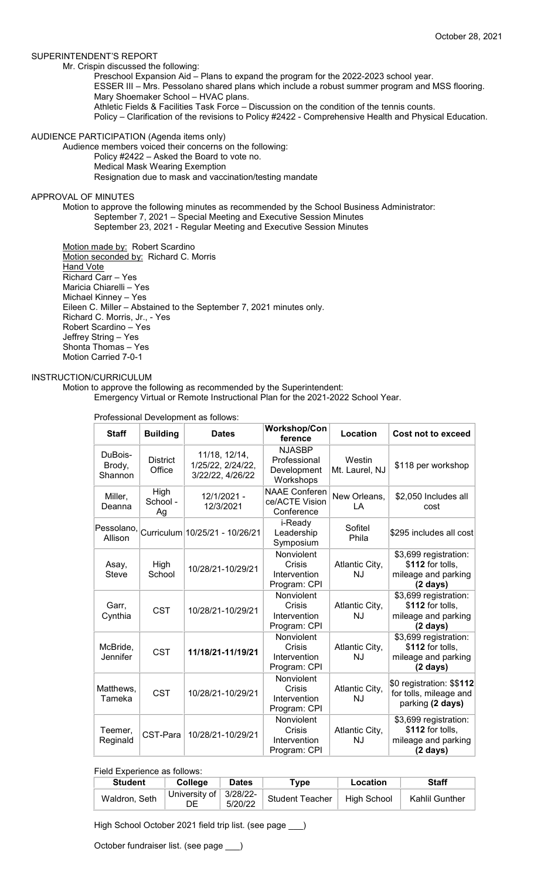## SUPERINTENDENT'S REPORT

Mr. Crispin discussed the following:

Preschool Expansion Aid – Plans to expand the program for the 2022-2023 school year.

ESSER III – Mrs. Pessolano shared plans which include a robust summer program and MSS flooring. Mary Shoemaker School – HVAC plans.

Athletic Fields & Facilities Task Force – Discussion on the condition of the tennis counts.

Policy – Clarification of the revisions to Policy #2422 - Comprehensive Health and Physical Education.

### AUDIENCE PARTICIPATION (Agenda items only)

Audience members voiced their concerns on the following: Policy #2422 – Asked the Board to vote no.

Medical Mask Wearing Exemption Resignation due to mask and vaccination/testing mandate

### APPROVAL OF MINUTES

Motion to approve the following minutes as recommended by the School Business Administrator: September 7, 2021 – Special Meeting and Executive Session Minutes September 23, 2021 - Regular Meeting and Executive Session Minutes

Motion made by: Robert Scardino Motion seconded by: Richard C. Morris Hand Vote Richard Carr – Yes Maricia Chiarelli – Yes Michael Kinney – Yes Eileen C. Miller – Abstained to the September 7, 2021 minutes only. Richard C. Morris, Jr., - Yes Robert Scardino – Yes Jeffrey String – Yes Shonta Thomas – Yes Motion Carried 7-0-1

## INSTRUCTION/CURRICULUM

Motion to approve the following as recommended by the Superintendent:

Emergency Virtual or Remote Instructional Plan for the 2021-2022 School Year.

| <b>Staff</b>                 | <b>Building</b>           | <b>Dates</b>                                                                     | <b>Workshop/Con</b><br>ference                            | Location                    | Cost not to exceed                                                                     |
|------------------------------|---------------------------|----------------------------------------------------------------------------------|-----------------------------------------------------------|-----------------------------|----------------------------------------------------------------------------------------|
| DuBois-<br>Brody,<br>Shannon | <b>District</b><br>Office | 11/18, 12/14,<br>1/25/22, 2/24/22,<br>3/22/22, 4/26/22                           | <b>NJASBP</b><br>Professional<br>Development<br>Workshops | Westin<br>Mt. Laurel, NJ    | \$118 per workshop                                                                     |
| Miller,<br>Deanna            | High<br>School -<br>Ag    | 12/1/2021 -<br>12/3/2021                                                         | <b>NAAE Conferen</b><br>ce/ACTE Vision<br>Conference      | New Orleans,<br>LA          | \$2,050 Includes all<br>cost                                                           |
| Allison                      |                           | $\left  \text{Pessolano}, \right  \text{Curriculum} \right  10/25/21 - 10/26/21$ | i-Ready<br>Leadership<br>Symposium                        | Sofitel<br>Phila            | \$295 includes all cost                                                                |
| Asay,<br><b>Steve</b>        | High<br>School            | 10/28/21-10/29/21                                                                | Nonviolent<br>Crisis<br>Intervention<br>Program: CPI      | Atlantic City,<br><b>NJ</b> | \$3,699 registration:<br>\$112 for tolls,<br>mileage and parking<br>$(2 \text{ days})$ |
| Garr,<br>Cynthia             | <b>CST</b>                | 10/28/21-10/29/21                                                                | Nonviolent<br>Crisis<br>Intervention<br>Program: CPI      | Atlantic City,<br><b>NJ</b> | \$3,699 registration:<br>\$112 for tolls,<br>mileage and parking<br>$(2 \text{ days})$ |
| McBride,<br>Jennifer         | <b>CST</b>                | 11/18/21-11/19/21                                                                | Nonviolent<br>Crisis<br>Intervention<br>Program: CPI      | Atlantic City,<br><b>NJ</b> | \$3,699 registration:<br>\$112 for tolls,<br>mileage and parking<br>$(2 \text{ days})$ |
| Matthews.<br>Tameka          | <b>CST</b>                | 10/28/21-10/29/21                                                                | Nonviolent<br>Crisis<br>Intervention<br>Program: CPI      | Atlantic City,<br>NJ        | \$0 registration: \$\$112<br>for tolls, mileage and<br>parking (2 days)                |
| Teemer,<br>Reginald          | CST-Para                  | 10/28/21-10/29/21                                                                | Nonviolent<br>Crisis<br>Intervention<br>Program: CPI      | Atlantic City,<br><b>NJ</b> | \$3,699 registration:<br>\$112 for tolls,<br>mileage and parking<br>$(2 \text{ days})$ |

Professional Development as follows:

# Field Experience as follows:

| <b>Student</b> | <b>College</b>                   | <b>Dates</b> | $^{\mathsf{T}}$ vpe    | Location           | <b>Staff</b>   |
|----------------|----------------------------------|--------------|------------------------|--------------------|----------------|
| Waldron, Seth  | University of $ 3/28/22$ -<br>DE | 5/20/22      | <b>Student Teacher</b> | <b>High School</b> | Kahlil Gunther |

High School October 2021 field trip list. (see page \_\_\_)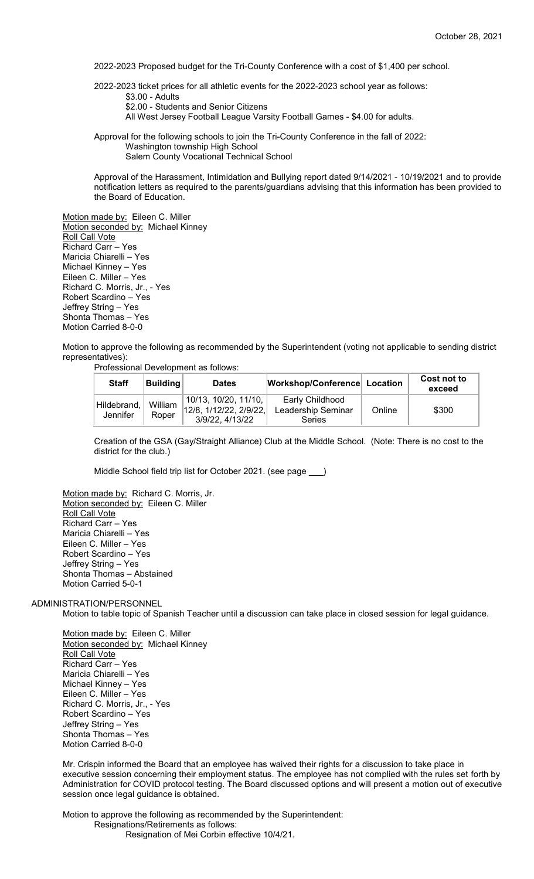2022-2023 Proposed budget for the Tri-County Conference with a cost of \$1,400 per school.

2022-2023 ticket prices for all athletic events for the 2022-2023 school year as follows:

\$3.00 - Adults

\$2.00 - Students and Senior Citizens

All West Jersey Football League Varsity Football Games - \$4.00 for adults.

Approval for the following schools to join the Tri-County Conference in the fall of 2022: Washington township High School Salem County Vocational Technical School

Approval of the Harassment, Intimidation and Bullying report dated 9/14/2021 - 10/19/2021 and to provide notification letters as required to the parents/guardians advising that this information has been provided to the Board of Education.

Motion made by: Eileen C. Miller Motion seconded by: Michael Kinney Roll Call Vote Richard Carr – Yes Maricia Chiarelli – Yes Michael Kinney – Yes Eileen C. Miller – Yes Richard C. Morris, Jr., - Yes Robert Scardino – Yes Jeffrey String – Yes Shonta Thomas – Yes Motion Carried 8-0-0

Motion to approve the following as recommended by the Superintendent (voting not applicable to sending district representatives):

Professional Development as follows:

| <b>Staff</b>            | Buildina         | <b>Dates</b>                                                         | Workshop/Conference Location                    |        | Cost not to<br>exceed |
|-------------------------|------------------|----------------------------------------------------------------------|-------------------------------------------------|--------|-----------------------|
| Hildebrand,<br>Jennifer | William<br>Roper | 10/13, 10/20, 11/10,<br>$12/8$ , 1/12/22, 2/9/22,<br>3/9/22, 4/13/22 | Early Childhood<br>Leadership Seminar<br>Series | Online | \$300                 |

Creation of the GSA (Gay/Straight Alliance) Club at the Middle School. (Note: There is no cost to the district for the club.)

Middle School field trip list for October 2021. (see page )

Motion made by: Richard C. Morris, Jr. Motion seconded by: Eileen C. Miller Roll Call Vote Richard Carr – Yes Maricia Chiarelli – Yes Eileen C. Miller – Yes Robert Scardino – Yes Jeffrey String – Yes Shonta Thomas – Abstained Motion Carried 5-0-1

ADMINISTRATION/PERSONNEL

Motion to table topic of Spanish Teacher until a discussion can take place in closed session for legal guidance.

Motion made by: Eileen C. Miller Motion seconded by: Michael Kinney Roll Call Vote Richard Carr – Yes Maricia Chiarelli – Yes Michael Kinney – Yes Eileen C. Miller – Yes Richard C. Morris, Jr., - Yes Robert Scardino – Yes Jeffrey String – Yes Shonta Thomas – Yes Motion Carried 8-0-0

Mr. Crispin informed the Board that an employee has waived their rights for a discussion to take place in executive session concerning their employment status. The employee has not complied with the rules set forth by Administration for COVID protocol testing. The Board discussed options and will present a motion out of executive session once legal guidance is obtained.

Motion to approve the following as recommended by the Superintendent: Resignations/Retirements as follows: Resignation of Mei Corbin effective 10/4/21.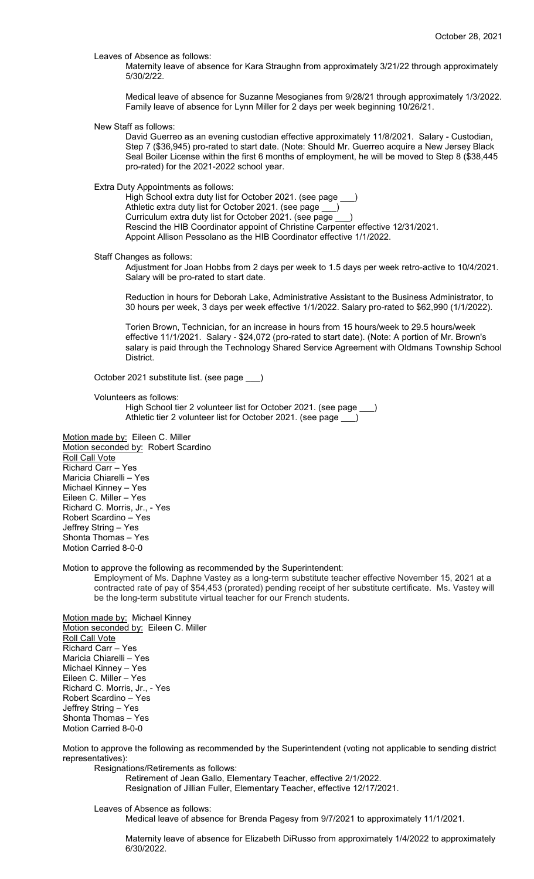Leaves of Absence as follows:

Maternity leave of absence for Kara Straughn from approximately 3/21/22 through approximately 5/30/2/22.

Medical leave of absence for Suzanne Mesogianes from 9/28/21 through approximately 1/3/2022. Family leave of absence for Lynn Miller for 2 days per week beginning 10/26/21.

New Staff as follows:

David Guerreo as an evening custodian effective approximately 11/8/2021. Salary - Custodian, Step 7 (\$36,945) pro-rated to start date. (Note: Should Mr. Guerreo acquire a New Jersey Black Seal Boiler License within the first 6 months of employment, he will be moved to Step 8 (\$38,445 pro-rated) for the 2021-2022 school year.

Extra Duty Appointments as follows:

High School extra duty list for October 2021. (see page Athletic extra duty list for October 2021. (see page \_\_\_) Curriculum extra duty list for October 2021. (see page ) Rescind the HIB Coordinator appoint of Christine Carpenter effective 12/31/2021. Appoint Allison Pessolano as the HIB Coordinator effective 1/1/2022.

Staff Changes as follows:

Adjustment for Joan Hobbs from 2 days per week to 1.5 days per week retro-active to 10/4/2021. Salary will be pro-rated to start date.

Reduction in hours for Deborah Lake, Administrative Assistant to the Business Administrator, to 30 hours per week, 3 days per week effective 1/1/2022. Salary pro-rated to \$62,990 (1/1/2022).

Torien Brown, Technician, for an increase in hours from 15 hours/week to 29.5 hours/week effective 11/1/2021. Salary - \$24,072 (pro-rated to start date). (Note: A portion of Mr. Brown's salary is paid through the Technology Shared Service Agreement with Oldmans Township School District.

October 2021 substitute list. (see page \_\_\_)

Volunteers as follows:

High School tier 2 volunteer list for October 2021. (see page \_\_\_) Athletic tier 2 volunteer list for October 2021. (see page \_\_\_)

Motion made by: Eileen C. Miller Motion seconded by: Robert Scardino Roll Call Vote Richard Carr – Yes Maricia Chiarelli – Yes Michael Kinney – Yes Eileen C. Miller – Yes Richard C. Morris, Jr., - Yes Robert Scardino – Yes Jeffrey String – Yes Shonta Thomas – Yes Motion Carried 8-0-0

#### Motion to approve the following as recommended by the Superintendent:

Employment of Ms. Daphne Vastey as a long-term substitute teacher effective November 15, 2021 at a contracted rate of pay of \$54,453 (prorated) pending receipt of her substitute certificate. Ms. Vastey will be the long-term substitute virtual teacher for our French students.

Motion made by: Michael Kinney Motion seconded by: Eileen C. Miller Roll Call Vote Richard Carr – Yes Maricia Chiarelli – Yes Michael Kinney – Yes Eileen C. Miller – Yes Richard C. Morris, Jr., - Yes Robert Scardino – Yes Jeffrey String – Yes Shonta Thomas – Yes Motion Carried 8-0-0

Motion to approve the following as recommended by the Superintendent (voting not applicable to sending district representatives):

Resignations/Retirements as follows: Retirement of Jean Gallo, Elementary Teacher, effective 2/1/2022.

Resignation of Jillian Fuller, Elementary Teacher, effective 12/17/2021.

Leaves of Absence as follows:

Medical leave of absence for Brenda Pagesy from 9/7/2021 to approximately 11/1/2021.

Maternity leave of absence for Elizabeth DiRusso from approximately 1/4/2022 to approximately 6/30/2022.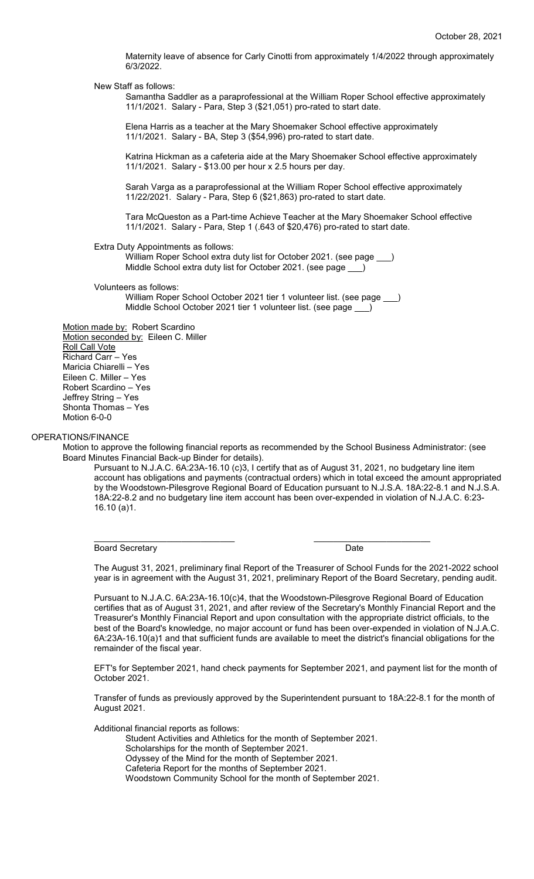Maternity leave of absence for Carly Cinotti from approximately 1/4/2022 through approximately 6/3/2022.

New Staff as follows:

Samantha Saddler as a paraprofessional at the William Roper School effective approximately 11/1/2021. Salary - Para, Step 3 (\$21,051) pro-rated to start date.

Elena Harris as a teacher at the Mary Shoemaker School effective approximately 11/1/2021. Salary - BA, Step 3 (\$54,996) pro-rated to start date.

Katrina Hickman as a cafeteria aide at the Mary Shoemaker School effective approximately 11/1/2021. Salary - \$13.00 per hour x 2.5 hours per day.

Sarah Varga as a paraprofessional at the William Roper School effective approximately 11/22/2021. Salary - Para, Step 6 (\$21,863) pro-rated to start date.

Tara McQueston as a Part-time Achieve Teacher at the Mary Shoemaker School effective 11/1/2021. Salary - Para, Step 1 (.643 of \$20,476) pro-rated to start date.

Extra Duty Appointments as follows:

William Roper School extra duty list for October 2021. (see page \_ Middle School extra duty list for October 2021. (see page

Volunteers as follows:

William Roper School October 2021 tier 1 volunteer list. (see page \_\_\_) Middle School October 2021 tier 1 volunteer list. (see page \_\_\_)

Motion made by: Robert Scardino Motion seconded by: Eileen C. Miller **Roll Call Vote** Richard Carr – Yes Maricia Chiarelli – Yes Eileen C. Miller – Yes Robert Scardino – Yes Jeffrey String – Yes Shonta Thomas – Yes Motion 6-0-0

## OPERATIONS/FINANCE

Motion to approve the following financial reports as recommended by the School Business Administrator: (see Board Minutes Financial Back-up Binder for details).

\_\_\_\_\_\_\_\_\_\_\_\_\_\_\_\_\_\_\_\_\_\_\_\_\_\_\_\_\_ \_\_\_\_\_\_\_\_\_\_\_\_\_\_\_\_\_\_\_\_\_\_\_\_

Pursuant to N.J.A.C. 6A:23A-16.10 (c)3, I certify that as of August 31, 2021, no budgetary line item account has obligations and payments (contractual orders) which in total exceed the amount appropriated by the Woodstown-Pilesgrove Regional Board of Education pursuant to N.J.S.A. 18A:22-8.1 and N.J.S.A. 18A:22-8.2 and no budgetary line item account has been over-expended in violation of N.J.A.C. 6:23- 16.10 (a)1.

Board Secretary **Date** 

The August 31, 2021, preliminary final Report of the Treasurer of School Funds for the 2021-2022 school year is in agreement with the August 31, 2021, preliminary Report of the Board Secretary, pending audit.

Pursuant to N.J.A.C. 6A:23A-16.10(c)4, that the Woodstown-Pilesgrove Regional Board of Education certifies that as of August 31, 2021, and after review of the Secretary's Monthly Financial Report and the Treasurer's Monthly Financial Report and upon consultation with the appropriate district officials, to the best of the Board's knowledge, no major account or fund has been over-expended in violation of N.J.A.C. 6A:23A-16.10(a)1 and that sufficient funds are available to meet the district's financial obligations for the remainder of the fiscal year.

EFT's for September 2021, hand check payments for September 2021, and payment list for the month of October 2021.

Transfer of funds as previously approved by the Superintendent pursuant to 18A:22-8.1 for the month of August 2021.

Additional financial reports as follows:

Student Activities and Athletics for the month of September 2021.

Scholarships for the month of September 2021.

Odyssey of the Mind for the month of September 2021.

Cafeteria Report for the months of September 2021.

Woodstown Community School for the month of September 2021.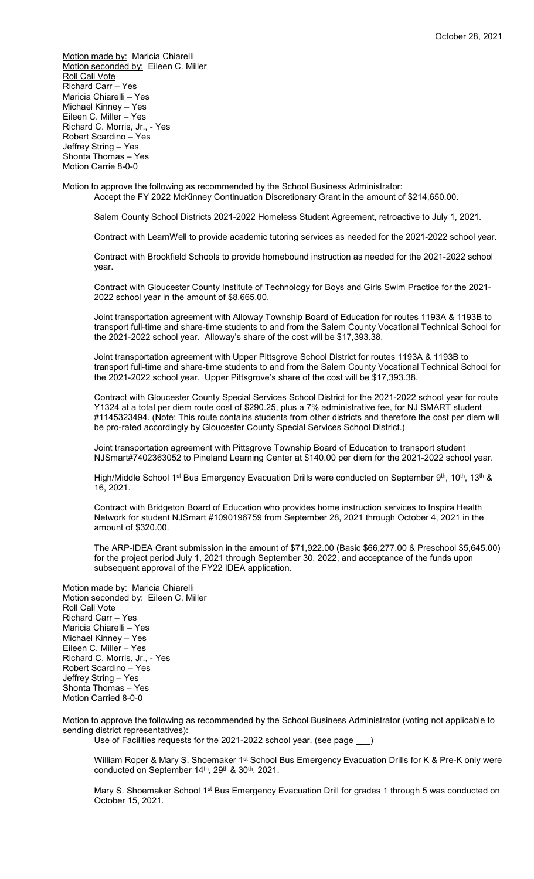Motion made by: Maricia Chiarelli Motion seconded by: Eileen C. Miller **Roll Call Vote** Richard Carr – Yes Maricia Chiarelli – Yes Michael Kinney – Yes Eileen C. Miller – Yes Richard C. Morris, Jr., - Yes Robert Scardino – Yes Jeffrey String – Yes Shonta Thomas – Yes Motion Carrie 8-0-0

Motion to approve the following as recommended by the School Business Administrator:

Accept the FY 2022 McKinney Continuation Discretionary Grant in the amount of \$214,650.00.

Salem County School Districts 2021-2022 Homeless Student Agreement, retroactive to July 1, 2021.

Contract with LearnWell to provide academic tutoring services as needed for the 2021-2022 school year.

Contract with Brookfield Schools to provide homebound instruction as needed for the 2021-2022 school year.

Contract with Gloucester County Institute of Technology for Boys and Girls Swim Practice for the 2021- 2022 school year in the amount of \$8,665.00.

Joint transportation agreement with Alloway Township Board of Education for routes 1193A & 1193B to transport full-time and share-time students to and from the Salem County Vocational Technical School for the 2021-2022 school year. Alloway's share of the cost will be \$17,393.38.

Joint transportation agreement with Upper Pittsgrove School District for routes 1193A & 1193B to transport full-time and share-time students to and from the Salem County Vocational Technical School for the 2021-2022 school year. Upper Pittsgrove's share of the cost will be \$17,393.38.

Contract with Gloucester County Special Services School District for the 2021-2022 school year for route Y1324 at a total per diem route cost of \$290.25, plus a 7% administrative fee, for NJ SMART student #1145323494. (Note: This route contains students from other districts and therefore the cost per diem will be pro-rated accordingly by Gloucester County Special Services School District.)

Joint transportation agreement with Pittsgrove Township Board of Education to transport student NJSmart#7402363052 to Pineland Learning Center at \$140.00 per diem for the 2021-2022 school year.

High/Middle School 1<sup>st</sup> Bus Emergency Evacuation Drills were conducted on September 9th, 10th, 13th & 16, 2021.

Contract with Bridgeton Board of Education who provides home instruction services to Inspira Health Network for student NJSmart #1090196759 from September 28, 2021 through October 4, 2021 in the amount of \$320.00.

The ARP-IDEA Grant submission in the amount of \$71,922.00 (Basic \$66,277.00 & Preschool \$5,645.00) for the project period July 1, 2021 through September 30. 2022, and acceptance of the funds upon subsequent approval of the FY22 IDEA application.

Motion made by: Maricia Chiarelli Motion seconded by: Eileen C. Miller Roll Call Vote Richard Carr – Yes Maricia Chiarelli – Yes Michael Kinney – Yes Eileen C. Miller – Yes Richard C. Morris, Jr., - Yes Robert Scardino – Yes Jeffrey String – Yes Shonta Thomas – Yes Motion Carried 8-0-0

Motion to approve the following as recommended by the School Business Administrator (voting not applicable to sending district representatives):

Use of Facilities requests for the 2021-2022 school year. (see page \_\_\_)

William Roper & Mary S. Shoemaker 1<sup>st</sup> School Bus Emergency Evacuation Drills for K & Pre-K only were conducted on September 14<sup>th</sup>, 29<sup>th</sup> & 30<sup>th</sup>, 2021.

Mary S. Shoemaker School 1<sup>st</sup> Bus Emergency Evacuation Drill for grades 1 through 5 was conducted on October 15, 2021.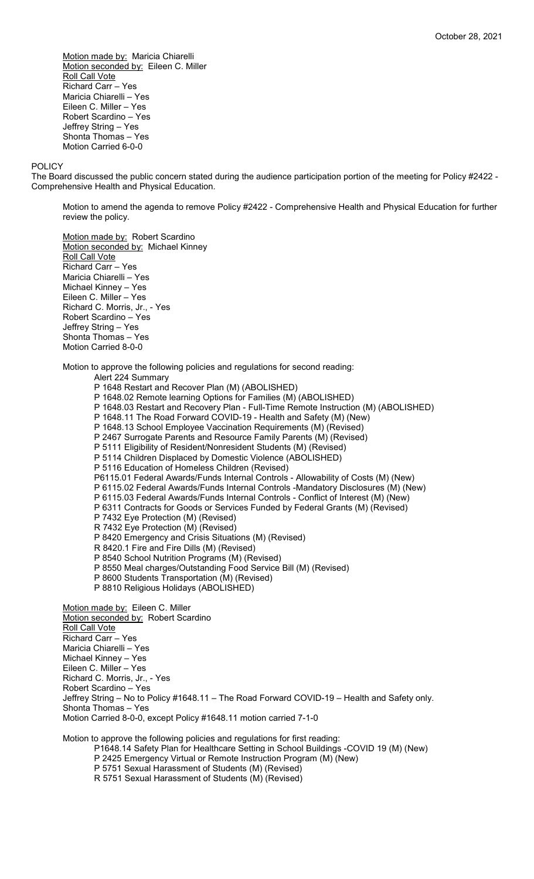Motion made by: Maricia Chiarelli Motion seconded by: Eileen C. Miller **Roll Call Vote** Richard Carr – Yes Maricia Chiarelli – Yes Eileen C. Miller – Yes Robert Scardino – Yes Jeffrey String – Yes Shonta Thomas – Yes Motion Carried 6-0-0

#### POLICY

The Board discussed the public concern stated during the audience participation portion of the meeting for Policy #2422 - Comprehensive Health and Physical Education.

Motion to amend the agenda to remove Policy #2422 - Comprehensive Health and Physical Education for further review the policy.

Motion made by: Robert Scardino Motion seconded by: Michael Kinney **Roll Call Vote** Richard Carr – Yes Maricia Chiarelli – Yes Michael Kinney – Yes Eileen C. Miller – Yes Richard C. Morris, Jr., - Yes Robert Scardino – Yes Jeffrey String – Yes Shonta Thomas – Yes Motion Carried 8-0-0

Motion to approve the following policies and regulations for second reading:

Alert 224 Summary P 1648 Restart and Recover Plan (M) (ABOLISHED) P 1648.02 Remote learning Options for Families (M) (ABOLISHED) P 1648.03 Restart and Recovery Plan - Full-Time Remote Instruction (M) (ABOLISHED) P 1648.11 The Road Forward COVID-19 - Health and Safety (M) (New) P 1648.13 School Employee Vaccination Requirements (M) (Revised) P 2467 Surrogate Parents and Resource Family Parents (M) (Revised) P 5111 Eligibility of Resident/Nonresident Students (M) (Revised) P 5114 Children Displaced by Domestic Violence (ABOLISHED) P 5116 Education of Homeless Children (Revised) P6115.01 Federal Awards/Funds Internal Controls - Allowability of Costs (M) (New) P 6115.02 Federal Awards/Funds Internal Controls -Mandatory Disclosures (M) (New) P 6115.03 Federal Awards/Funds Internal Controls - Conflict of Interest (M) (New) P 6311 Contracts for Goods or Services Funded by Federal Grants (M) (Revised) P 7432 Eye Protection (M) (Revised) R 7432 Eye Protection (M) (Revised) P 8420 Emergency and Crisis Situations (M) (Revised) R 8420.1 Fire and Fire Dills (M) (Revised) P 8540 School Nutrition Programs (M) (Revised) P 8550 Meal charges/Outstanding Food Service Bill (M) (Revised) P 8600 Students Transportation (M) (Revised) P 8810 Religious Holidays (ABOLISHED) Motion made by: Eileen C. Miller Motion seconded by: Robert Scardino Roll Call Vote Richard Carr – Yes Maricia Chiarelli – Yes Michael Kinney – Yes Eileen C. Miller – Yes

Richard C. Morris, Jr., - Yes

Robert Scardino – Yes Jeffrey String – No to Policy #1648.11 – The Road Forward COVID-19 – Health and Safety only. Shonta Thomas – Yes Motion Carried 8-0-0, except Policy #1648.11 motion carried 7-1-0

Motion to approve the following policies and regulations for first reading:

P1648.14 Safety Plan for Healthcare Setting in School Buildings -COVID 19 (M) (New)

P 2425 Emergency Virtual or Remote Instruction Program (M) (New)

P 5751 Sexual Harassment of Students (M) (Revised)

R 5751 Sexual Harassment of Students (M) (Revised)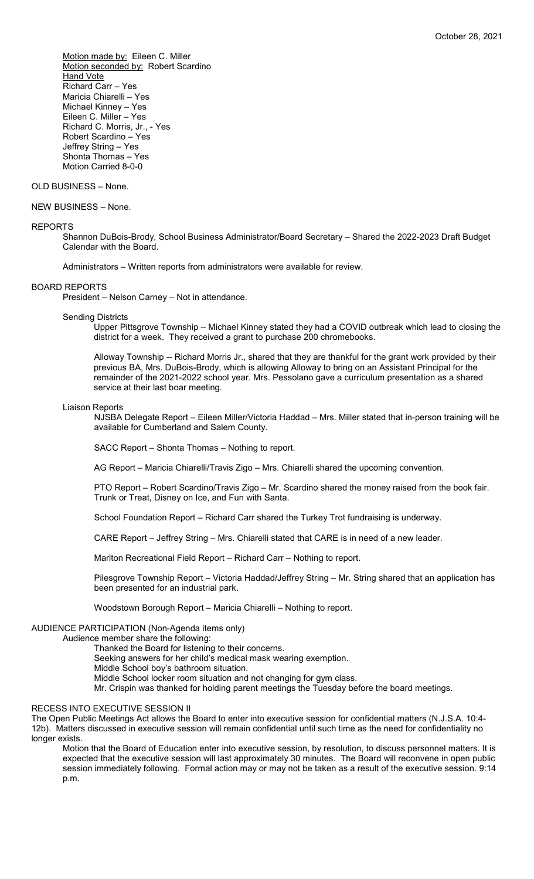Motion made by: Eileen C. Miller Motion seconded by: Robert Scardino **Hand Vote** Richard Carr – Yes Maricia Chiarelli – Yes Michael Kinney – Yes Eileen C. Miller – Yes Richard C. Morris, Jr., - Yes Robert Scardino – Yes Jeffrey String – Yes Shonta Thomas – Yes Motion Carried 8-0-0

## OLD BUSINESS – None.

NEW BUSINESS – None.

#### REPORTS

Shannon DuBois-Brody, School Business Administrator/Board Secretary – Shared the 2022-2023 Draft Budget Calendar with the Board.

Administrators – Written reports from administrators were available for review.

#### BOARD REPORTS

President – Nelson Carney – Not in attendance.

## Sending Districts

Upper Pittsgrove Township – Michael Kinney stated they had a COVID outbreak which lead to closing the district for a week. They received a grant to purchase 200 chromebooks.

Alloway Township -- Richard Morris Jr., shared that they are thankful for the grant work provided by their previous BA, Mrs. DuBois-Brody, which is allowing Alloway to bring on an Assistant Principal for the remainder of the 2021-2022 school year. Mrs. Pessolano gave a curriculum presentation as a shared service at their last boar meeting.

#### Liaison Reports

NJSBA Delegate Report – Eileen Miller/Victoria Haddad – Mrs. Miller stated that in-person training will be available for Cumberland and Salem County.

SACC Report – Shonta Thomas – Nothing to report.

AG Report – Maricia Chiarelli/Travis Zigo – Mrs. Chiarelli shared the upcoming convention.

PTO Report – Robert Scardino/Travis Zigo – Mr. Scardino shared the money raised from the book fair. Trunk or Treat, Disney on Ice, and Fun with Santa.

School Foundation Report – Richard Carr shared the Turkey Trot fundraising is underway.

CARE Report – Jeffrey String – Mrs. Chiarelli stated that CARE is in need of a new leader.

Marlton Recreational Field Report – Richard Carr – Nothing to report.

Pilesgrove Township Report – Victoria Haddad/Jeffrey String – Mr. String shared that an application has been presented for an industrial park.

Woodstown Borough Report – Maricia Chiarelli – Nothing to report.

### AUDIENCE PARTICIPATION (Non-Agenda items only)

Audience member share the following:

- Thanked the Board for listening to their concerns.
- Seeking answers for her child's medical mask wearing exemption.
- Middle School boy's bathroom situation.

Middle School locker room situation and not changing for gym class.

Mr. Crispin was thanked for holding parent meetings the Tuesday before the board meetings.

#### RECESS INTO EXECUTIVE SESSION II

The Open Public Meetings Act allows the Board to enter into executive session for confidential matters (N.J.S.A. 10:4- 12b). Matters discussed in executive session will remain confidential until such time as the need for confidentiality no longer exists.

Motion that the Board of Education enter into executive session, by resolution, to discuss personnel matters. It is expected that the executive session will last approximately 30 minutes. The Board will reconvene in open public session immediately following. Formal action may or may not be taken as a result of the executive session. 9:14 p.m.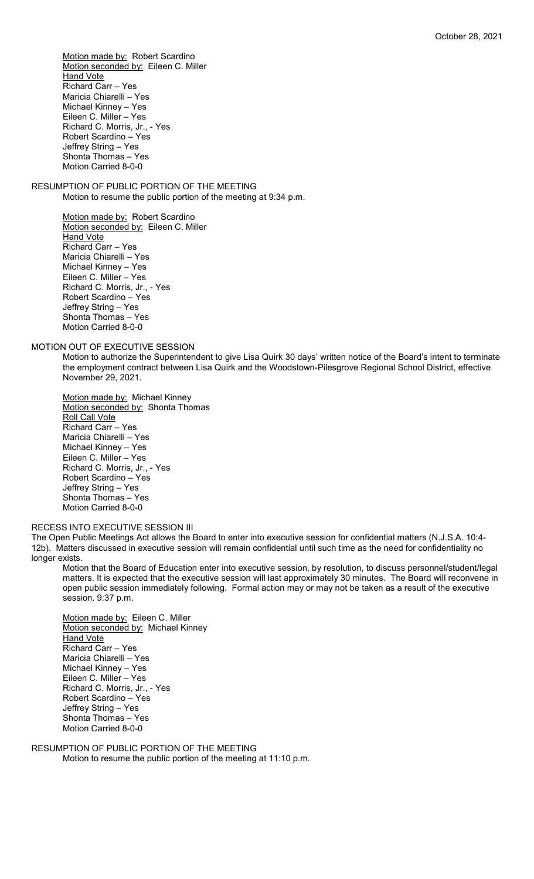Motion made by: Robert Scardino Motion seconded by: Eileen C. Miller **Hand Vote** Richard Carr – Yes Maricia Chiarelli – Yes Michael Kinney – Yes Eileen C. Miller – Yes Richard C. Morris, Jr., - Yes Robert Scardino – Yes Jeffrey String – Yes Shonta Thomas – Yes Motion Carried 8-0-0

RESUMPTION OF PUBLIC PORTION OF THE MEETING Motion to resume the public portion of the meeting at 9:34 p.m.

> Motion made by: Robert Scardino Motion seconded by: Eileen C. Miller **Hand Vote** Richard Carr – Yes Maricia Chiarelli – Yes Michael Kinney – Yes Eileen C. Miller – Yes Richard C. Morris, Jr., - Yes Robert Scardino – Yes Jeffrey String – Yes Shonta Thomas – Yes Motion Carried 8-0-0

MOTION OUT OF EXECUTIVE SESSION

Motion to authorize the Superintendent to give Lisa Quirk 30 days' written notice of the Board's intent to terminate the employment contract between Lisa Quirk and the Woodstown-Pilesgrove Regional School District, effective November 29, 2021.

Motion made by: Michael Kinney Motion seconded by: Shonta Thomas Roll Call Vote Richard Carr – Yes Maricia Chiarelli – Yes Michael Kinney – Yes Eileen C. Miller – Yes Richard C. Morris, Jr., - Yes Robert Scardino – Yes Jeffrey String – Yes Shonta Thomas – Yes Motion Carried 8-0-0

## RECESS INTO EXECUTIVE SESSION III

The Open Public Meetings Act allows the Board to enter into executive session for confidential matters (N.J.S.A. 10:4- 12b). Matters discussed in executive session will remain confidential until such time as the need for confidentiality no longer exists.

Motion that the Board of Education enter into executive session, by resolution, to discuss personnel/student/legal matters. It is expected that the executive session will last approximately 30 minutes. The Board will reconvene in open public session immediately following. Formal action may or may not be taken as a result of the executive session. 9:37 p.m.

Motion made by: Eileen C. Miller Motion seconded by: Michael Kinney **Hand Vote** Richard Carr – Yes Maricia Chiarelli – Yes Michael Kinney – Yes Eileen C. Miller – Yes Richard C. Morris, Jr., - Yes Robert Scardino – Yes Jeffrey String – Yes Shonta Thomas – Yes Motion Carried 8-0-0

RESUMPTION OF PUBLIC PORTION OF THE MEETING Motion to resume the public portion of the meeting at 11:10 p.m.